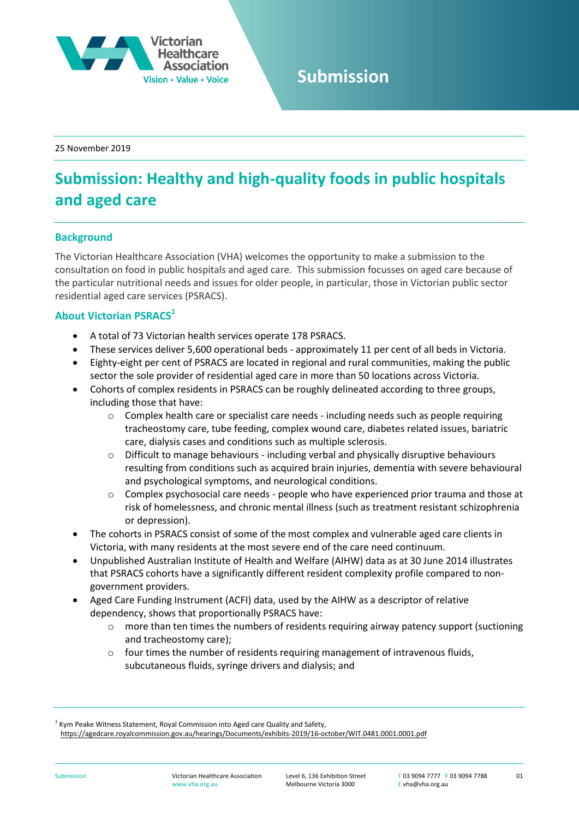

# **Submission**

25 November 2019

# **Submission: Healthy and high-quality foods in public hospitals and aged care**

# **Background**

The Victorian Healthcare Association (VHA) welcomes the opportunity to make a submission to the consultation on food in public hospitals and aged care. This submission focusses on aged care because of the particular nutritional needs and issues for older people, in particular, those in Victorian public sector residential aged care services (PSRACS).

# **About Victorian PSRACS<sup>1</sup>**

- A total of 73 Victorian health services operate 178 PSRACS.
- These services deliver 5,600 operational beds approximately 11 per cent of all beds in Victoria.
- Eighty-eight per cent of PSRACS are located in regional and rural communities, making the public sector the sole provider of residential aged care in more than 50 locations across Victoria.
- Cohorts of complex residents in PSRACS can be roughly delineated according to three groups, including those that have:
	- o Complex health care or specialist care needs including needs such as people requiring tracheostomy care, tube feeding, complex wound care, diabetes related issues, bariatric care, dialysis cases and conditions such as multiple sclerosis.
	- $\circ$  Difficult to manage behaviours including verbal and physically disruptive behaviours resulting from conditions such as acquired brain injuries, dementia with severe behavioural and psychological symptoms, and neurological conditions.
	- o Complex psychosocial care needs people who have experienced prior trauma and those at risk of homelessness, and chronic mental illness (such as treatment resistant schizophrenia or depression).
- The cohorts in PSRACS consist of some of the most complex and vulnerable aged care clients in Victoria, with many residents at the most severe end of the care need continuum.
- Unpublished Australian Institute of Health and Welfare (AIHW) data as at 30 June 2014 illustrates that PSRACS cohorts have a significantly different resident complexity profile compared to nongovernment providers.
- Aged Care Funding Instrument (ACFI) data, used by the AIHW as a descriptor of relative dependency, shows that proportionally PSRACS have:
	- o more than ten times the numbers of residents requiring airway patency support (suctioning and tracheostomy care);
	- o four times the number of residents requiring management of intravenous fluids, subcutaneous fluids, syringe drivers and dialysis; and

<https://agedcare.royalcommission.gov.au/hearings/Documents/exhibits-2019/16-october/WIT.0481.0001.0001.pdf>

 $<sup>1</sup>$  Kym Peake Witness Statement, Royal Commission into Aged care Quality and Safety,</sup>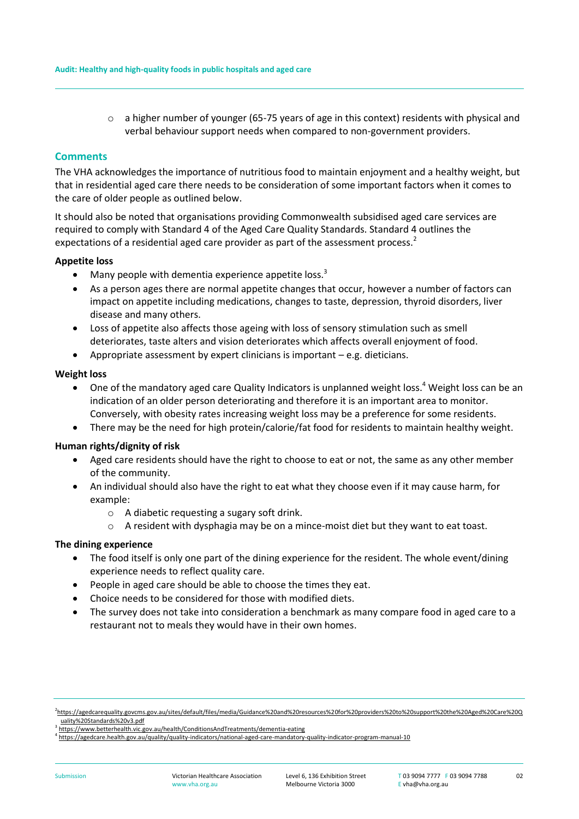o a higher number of younger (65-75 years of age in this context) residents with physical and verbal behaviour support needs when compared to non-government providers.

#### **Comments**

The VHA acknowledges the importance of nutritious food to maintain enjoyment and a healthy weight, but that in residential aged care there needs to be consideration of some important factors when it comes to the care of older people as outlined below.

It should also be noted that organisations providing Commonwealth subsidised aged care services are required to comply with Standard 4 of the Aged Care Quality Standards. Standard 4 outlines the expectations of a residential aged care provider as part of the assessment process.<sup>2</sup>

#### **Appetite loss**

- Many people with dementia experience appetite loss.<sup>3</sup>
- As a person ages there are normal appetite changes that occur, however a number of factors can impact on appetite including medications, changes to taste, depression, thyroid disorders, liver disease and many others.
- Loss of appetite also affects those ageing with loss of sensory stimulation such as smell deteriorates, taste alters and vision deteriorates which affects overall enjoyment of food.
- Appropriate assessment by expert clinicians is important e.g. dieticians.

#### **Weight loss**

- $\bullet$  One of the mandatory aged care Quality Indicators is unplanned weight loss.<sup>4</sup> Weight loss can be an indication of an older person deteriorating and therefore it is an important area to monitor. Conversely, with obesity rates increasing weight loss may be a preference for some residents.
- There may be the need for high protein/calorie/fat food for residents to maintain healthy weight.

## **Human rights/dignity of risk**

- Aged care residents should have the right to choose to eat or not, the same as any other member of the community.
- An individual should also have the right to eat what they choose even if it may cause harm, for example:
	- o A diabetic requesting a sugary soft drink.
	- $\circ$  A resident with dysphagia may be on a mince-moist diet but they want to eat toast.

## **The dining experience**

- The food itself is only one part of the dining experience for the resident. The whole event/dining experience needs to reflect quality care.
- People in aged care should be able to choose the times they eat.
- Choice needs to be considered for those with modified diets.
- The survey does not take into consideration a benchmark as many compare food in aged care to a restaurant not to meals they would have in their own homes.

<sup>2</sup> [https://agedcarequality.govcms.gov.au/sites/default/files/media/Guidance%20and%20resources%20for%20providers%20to%20support%20the%20Aged%20Care%20Q](https://agedcarequality.govcms.gov.au/sites/default/files/media/Guidance%20and%20resources%20for%20providers%20to%20support%20the%20Aged%20Care%20Quality%20Standards%20v3.pdf) [uality%20Standards%20v3.pdf](https://agedcarequality.govcms.gov.au/sites/default/files/media/Guidance%20and%20resources%20for%20providers%20to%20support%20the%20Aged%20Care%20Quality%20Standards%20v3.pdf)

<sup>&</sup>lt;sup>3</sup> <https://www.betterhealth.vic.gov.au/health/ConditionsAndTreatments/dementia-eating>

<sup>4</sup> <https://agedcare.health.gov.au/quality/quality-indicators/national-aged-care-mandatory-quality-indicator-program-manual-10>